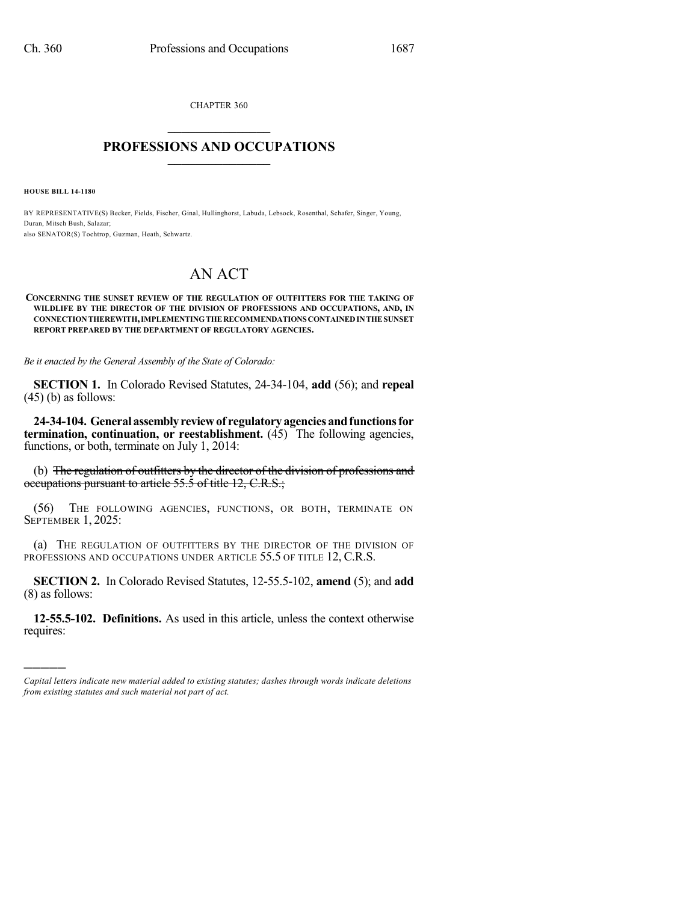CHAPTER 360  $\overline{\phantom{a}}$  . The set of the set of the set of the set of the set of the set of the set of the set of the set of the set of the set of the set of the set of the set of the set of the set of the set of the set of the set o

## **PROFESSIONS AND OCCUPATIONS**  $\frac{1}{2}$  ,  $\frac{1}{2}$  ,  $\frac{1}{2}$  ,  $\frac{1}{2}$  ,  $\frac{1}{2}$  ,  $\frac{1}{2}$  ,  $\frac{1}{2}$

**HOUSE BILL 14-1180**

)))))

BY REPRESENTATIVE(S) Becker, Fields, Fischer, Ginal, Hullinghorst, Labuda, Lebsock, Rosenthal, Schafer, Singer, Young, Duran, Mitsch Bush, Salazar; also SENATOR(S) Tochtrop, Guzman, Heath, Schwartz.

## AN ACT

## **CONCERNING THE SUNSET REVIEW OF THE REGULATION OF OUTFITTERS FOR THE TAKING OF WILDLIFE BY THE DIRECTOR OF THE DIVISION OF PROFESSIONS AND OCCUPATIONS, AND, IN CONNECTIONTHEREWITH,IMPLEMENTINGTHERECOMMENDATIONS CONTAINEDINTHESUNSET REPORT PREPARED BY THE DEPARTMENT OF REGULATORY AGENCIES.**

*Be it enacted by the General Assembly of the State of Colorado:*

**SECTION 1.** In Colorado Revised Statutes, 24-34-104, **add** (56); and **repeal**  $(45)$  (b) as follows:

**24-34-104. Generalassemblyreviewof regulatoryagenciesandfunctionsfor termination, continuation, or reestablishment.** (45) The following agencies, functions, or both, terminate on July 1, 2014:

(b) The regulation of outfitters by the director of the division of professions and occupations pursuant to article 55.5 of title 12, C.R.S.;

(56) THE FOLLOWING AGENCIES, FUNCTIONS, OR BOTH, TERMINATE ON SEPTEMBER 1, 2025:

(a) THE REGULATION OF OUTFITTERS BY THE DIRECTOR OF THE DIVISION OF PROFESSIONS AND OCCUPATIONS UNDER ARTICLE 55.5 OF TITLE 12, C.R.S.

**SECTION 2.** In Colorado Revised Statutes, 12-55.5-102, **amend** (5); and **add** (8) as follows:

**12-55.5-102. Definitions.** As used in this article, unless the context otherwise requires:

*Capital letters indicate new material added to existing statutes; dashes through words indicate deletions from existing statutes and such material not part of act.*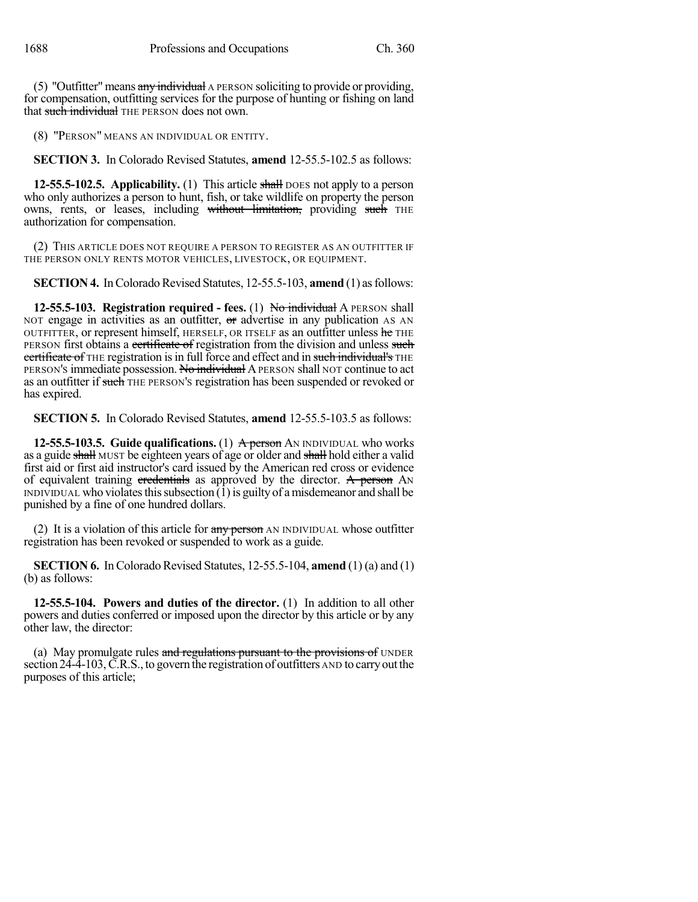(5) "Outfitter" means any individual A PERSON soliciting to provide or providing, for compensation, outfitting services for the purpose of hunting or fishing on land that such individual THE PERSON does not own.

(8) "PERSON" MEANS AN INDIVIDUAL OR ENTITY.

**SECTION 3.** In Colorado Revised Statutes, **amend** 12-55.5-102.5 as follows:

**12-55.5-102.5.** Applicability. (1) This article shall DOES not apply to a person who only authorizes a person to hunt, fish, or take wildlife on property the person owns, rents, or leases, including without limitation, providing such THE authorization for compensation.

(2) THIS ARTICLE DOES NOT REQUIRE A PERSON TO REGISTER AS AN OUTFITTER IF THE PERSON ONLY RENTS MOTOR VEHICLES, LIVESTOCK, OR EQUIPMENT.

**SECTION 4.** In Colorado Revised Statutes, 12-55.5-103, **amend** (1) as follows:

**12-55.5-103. Registration required - fees.** (1) No individual A PERSON shall NOT engage in activities as an outfitter, or advertise in any publication AS AN OUTFITTER, or represent himself, HERSELF, OR ITSELF as an outfitter unless he THE PERSON first obtains a certificate of registration from the division and unless such certificate of THE registration is in full force and effect and in such individual's THE PERSON'S immediate possession. No individual APERSON shall NOT continue to act as an outfitter if such THE PERSON's registration has been suspended or revoked or has expired.

**SECTION 5.** In Colorado Revised Statutes, **amend** 12-55.5-103.5 as follows:

**12-55.5-103.5. Guide qualifications.** (1) A person AN INDIVIDUAL who works as a guide shall MUST be eighteen years of age or older and shall hold either a valid first aid or first aid instructor's card issued by the American red cross or evidence of equivalent training eredentials as approved by the director. A person  $\Delta N$ INDIVIDUAL who violates this subsection  $(1)$  is guilty of a misdemeanor and shall be punished by a fine of one hundred dollars.

(2) It is a violation of this article for  $\frac{any\,person}{any\,M}$  an INDIVIDUAL whose outfitter registration has been revoked or suspended to work as a guide.

**SECTION 6.** In Colorado Revised Statutes, 12-55.5-104, **amend** (1) (a) and (1) (b) as follows:

**12-55.5-104. Powers and duties of the director.** (1) In addition to all other powers and duties conferred or imposed upon the director by this article or by any other law, the director:

(a) May promulgate rules and regulations pursuant to the provisions of UNDER section  $24-\overline{4}-103$ , C.R.S., to govern the registration of outfitters AND to carry out the purposes of this article;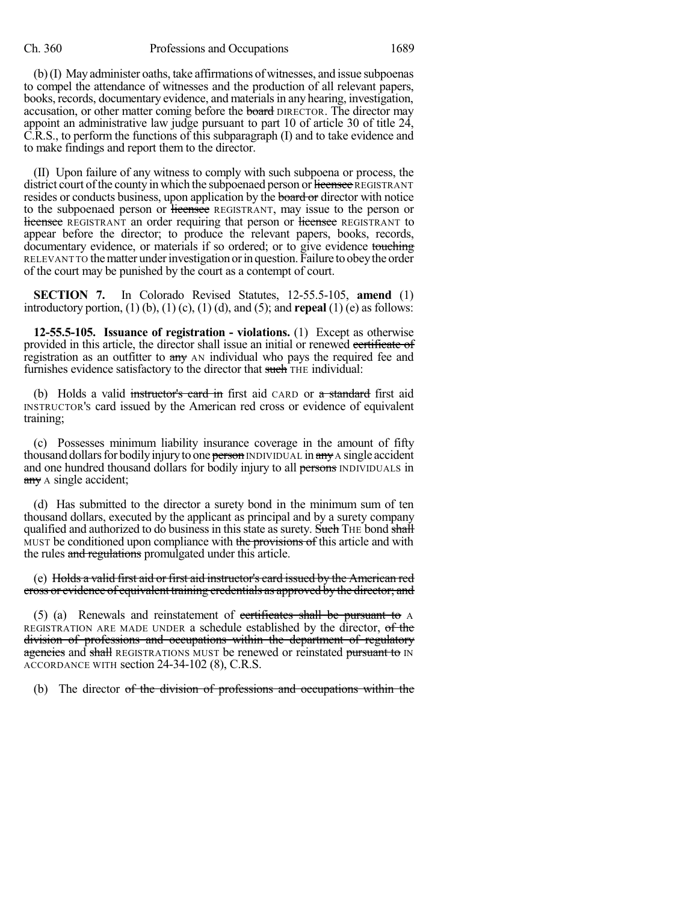(b)(I) May administer oaths, take affirmations of witnesses, and issue subpoenas to compel the attendance of witnesses and the production of all relevant papers, books, records, documentary evidence, and materialsin any hearing, investigation, accusation, or other matter coming before the board DIRECTOR. The director may appoint an administrative law judge pursuant to part 10 of article 30 of title 24, C.R.S., to perform the functions of this subparagraph (I) and to take evidence and to make findings and report them to the director.

(II) Upon failure of any witness to comply with such subpoena or process, the district court of the county in which the subpoenaed person or licensee REGISTRANT resides or conducts business, upon application by the board or director with notice to the subpoenaed person or licensee REGISTRANT, may issue to the person or **licensee** REGISTRANT an order requiring that person or licensee REGISTRANT to appear before the director; to produce the relevant papers, books, records, documentary evidence, or materials if so ordered; or to give evidence touching RELEVANT TO the matter under investigation or in question. Failure to obey the order of the court may be punished by the court as a contempt of court.

**SECTION 7.** In Colorado Revised Statutes, 12-55.5-105, **amend** (1) introductory portion, (1) (b), (1) (c), (1) (d), and (5); and **repeal** (1) (e) as follows:

**12-55.5-105. Issuance of registration - violations.** (1) Except as otherwise provided in this article, the director shall issue an initial or renewed evertificate of registration as an outfitter to any AN individual who pays the required fee and furnishes evidence satisfactory to the director that such THE individual:

(b) Holds a valid instructor's card in first aid CARD or a standard first aid INSTRUCTOR'S card issued by the American red cross or evidence of equivalent training;

(c) Possesses minimum liability insurance coverage in the amount of fifty thousand dollars for bodily injury to one person INDIVIDUAL in any A single accident and one hundred thousand dollars for bodily injury to all persons INDIVIDUALS in  $\frac{any}{x}$  A single accident;

(d) Has submitted to the director a surety bond in the minimum sum of ten thousand dollars, executed by the applicant as principal and by a surety company qualified and authorized to do business in this state as surety. Such THE bond shall MUST be conditioned upon compliance with the provisions of this article and with the rules and regulations promulgated under this article.

(e) Holds a valid first aid or first aid instructor's card issued by the American red cross or evidence of equivalent training credentials as approved by the director; and

(5) (a) Renewals and reinstatement of certificates shall be pursuant to A REGISTRATION ARE MADE UNDER a schedule established by the director, of the division of professions and occupations within the department of regulatory agencies and shall REGISTRATIONS MUST be renewed or reinstated pursuant to IN ACCORDANCE WITH section 24-34-102 (8), C.R.S.

(b) The director of the division of professions and occupations within the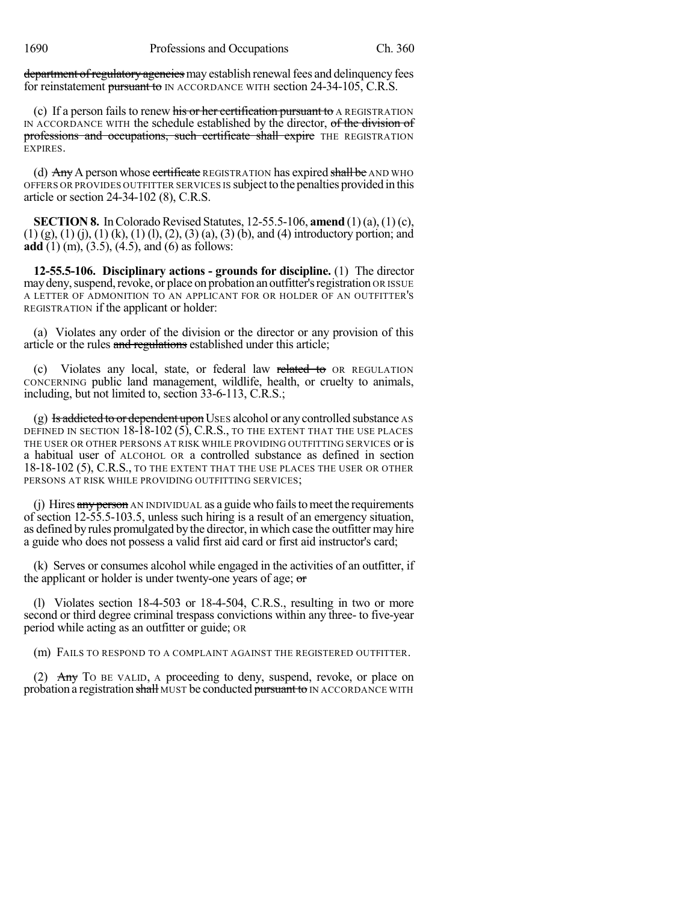department of regulatory agencies may establish renewal fees and delinquency fees for reinstatement pursuant to IN ACCORDANCE WITH section 24-34-105, C.R.S.

(c) If a person fails to renew his or her certification pursuant to A REGISTRATION IN ACCORDANCE WITH the schedule established by the director, of the division of professions and occupations, such certificate shall expire THE REGISTRATION EXPIRES.

(d)  $\overrightarrow{Any}$  A person whose extificate REGISTRATION has expired shall be AND WHO OFFERS OR PROVIDES OUTFITTER SERVICES IS subject to the penalties provided in this article or section 24-34-102 (8), C.R.S.

**SECTION 8.** In Colorado Revised Statutes,  $12-55.5-106$ , **amend**  $(1)(a)$ ,  $(1)(c)$ ,  $(1)$  (g),  $(1)$  (j),  $(1)$  (k),  $(1)$  (l),  $(2)$ ,  $(3)$  (a),  $(3)$  (b), and (4) introductory portion; and **add** (1) (m), (3.5), (4.5), and (6) as follows:

**12-55.5-106. Disciplinary actions - grounds for discipline.** (1) The director may deny, suspend, revoke, or place on probation an outfitter's registration OR ISSUE A LETTER OF ADMONITION TO AN APPLICANT FOR OR HOLDER OF AN OUTFITTER'S REGISTRATION if the applicant or holder:

(a) Violates any order of the division or the director or any provision of this article or the rules and regulations established under this article;

Violates any local, state, or federal law related to OR REGULATION CONCERNING public land management, wildlife, health, or cruelty to animals, including, but not limited to, section 33-6-113, C.R.S.;

(g) Is addicted to or dependent upon USES alcohol or any controlled substance AS DEFINED IN SECTION 18-18-102 (5), C.R.S., TO THE EXTENT THAT THE USE PLACES THE USER OR OTHER PERSONS AT RISK WHILE PROVIDING OUTFITTING SERVICES or is a habitual user of ALCOHOL OR a controlled substance as defined in section 18-18-102 (5), C.R.S., TO THE EXTENT THAT THE USE PLACES THE USER OR OTHER PERSONS AT RISK WHILE PROVIDING OUTFITTING SERVICES;

(j) Hires  $\frac{any \text{ person}}{Any \text{ common}}$  AN INDIVIDUAL as a guide who fails to meet the requirements of section 12-55.5-103.5, unless such hiring is a result of an emergency situation, as defined by rules promulgated by the director, in which case the outfitter may hire a guide who does not possess a valid first aid card or first aid instructor's card;

(k) Serves or consumes alcohol while engaged in the activities of an outfitter, if the applicant or holder is under twenty-one years of age; or

(l) Violates section 18-4-503 or 18-4-504, C.R.S., resulting in two or more second or third degree criminal trespass convictions within any three- to five-year period while acting as an outfitter or guide; OR

(m) FAILS TO RESPOND TO A COMPLAINT AGAINST THE REGISTERED OUTFITTER.

(2) Any To BE VALID, A proceeding to deny, suspend, revoke, or place on probation a registration shall MUST be conducted pursuant to IN ACCORDANCE WITH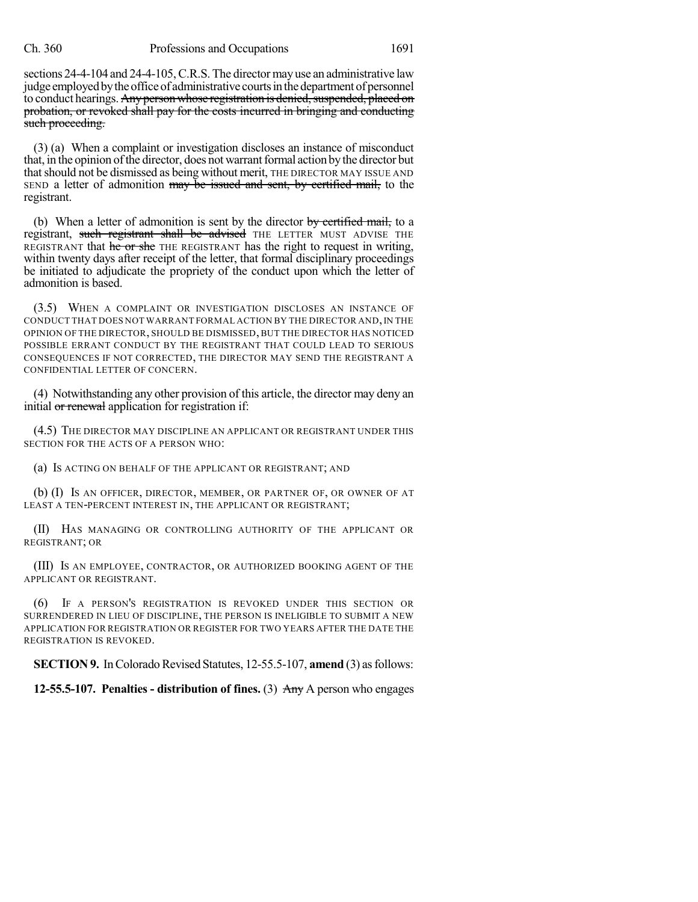sections 24-4-104 and 24-4-105, C.R.S. The director may use an administrative law judge employed by the office of administrative courts in the department of personnel to conduct hearings. Any person whose registration is denied, suspended, placed on probation, or revoked shall pay for the costs incurred in bringing and conducting such proceeding.

(3) (a) When a complaint or investigation discloses an instance of misconduct that, in the opinion of the director, does not warrant formal action by the director but that should not be dismissed as being without merit, THE DIRECTOR MAY ISSUE AND SEND a letter of admonition may be issued and sent, by certified mail, to the registrant.

(b) When a letter of admonition is sent by the director  $\frac{1}{2}$  by certified mail, to a registrant, such registrant shall be advised THE LETTER MUST ADVISE THE REGISTRANT that he or she THE REGISTRANT has the right to request in writing, within twenty days after receipt of the letter, that formal disciplinary proceedings be initiated to adjudicate the propriety of the conduct upon which the letter of admonition is based.

(3.5) WHEN A COMPLAINT OR INVESTIGATION DISCLOSES AN INSTANCE OF CONDUCT THAT DOES NOT WARRANT FORMAL ACTION BY THE DIRECTOR AND, IN THE OPINION OF THE DIRECTOR, SHOULD BE DISMISSED, BUT THE DIRECTOR HAS NOTICED POSSIBLE ERRANT CONDUCT BY THE REGISTRANT THAT COULD LEAD TO SERIOUS CONSEQUENCES IF NOT CORRECTED, THE DIRECTOR MAY SEND THE REGISTRANT A CONFIDENTIAL LETTER OF CONCERN.

(4) Notwithstanding any other provision of this article, the director may deny an initial or renewal application for registration if:

(4.5) THE DIRECTOR MAY DISCIPLINE AN APPLICANT OR REGISTRANT UNDER THIS SECTION FOR THE ACTS OF A PERSON WHO:

(a) IS ACTING ON BEHALF OF THE APPLICANT OR REGISTRANT; AND

(b) (I) IS AN OFFICER, DIRECTOR, MEMBER, OR PARTNER OF, OR OWNER OF AT LEAST A TEN-PERCENT INTEREST IN, THE APPLICANT OR REGISTRANT;

(II) HAS MANAGING OR CONTROLLING AUTHORITY OF THE APPLICANT OR REGISTRANT; OR

(III) IS AN EMPLOYEE, CONTRACTOR, OR AUTHORIZED BOOKING AGENT OF THE APPLICANT OR REGISTRANT.

(6) IF A PERSON'S REGISTRATION IS REVOKED UNDER THIS SECTION OR SURRENDERED IN LIEU OF DISCIPLINE, THE PERSON IS INELIGIBLE TO SUBMIT A NEW APPLICATION FOR REGISTRATION OR REGISTER FOR TWO YEARS AFTER THE DATE THE REGISTRATION IS REVOKED.

**SECTION 9.** In Colorado Revised Statutes, 12-55.5-107, **amend** (3) as follows:

**12-55.5-107. Penalties - distribution of fines.** (3) Any A person who engages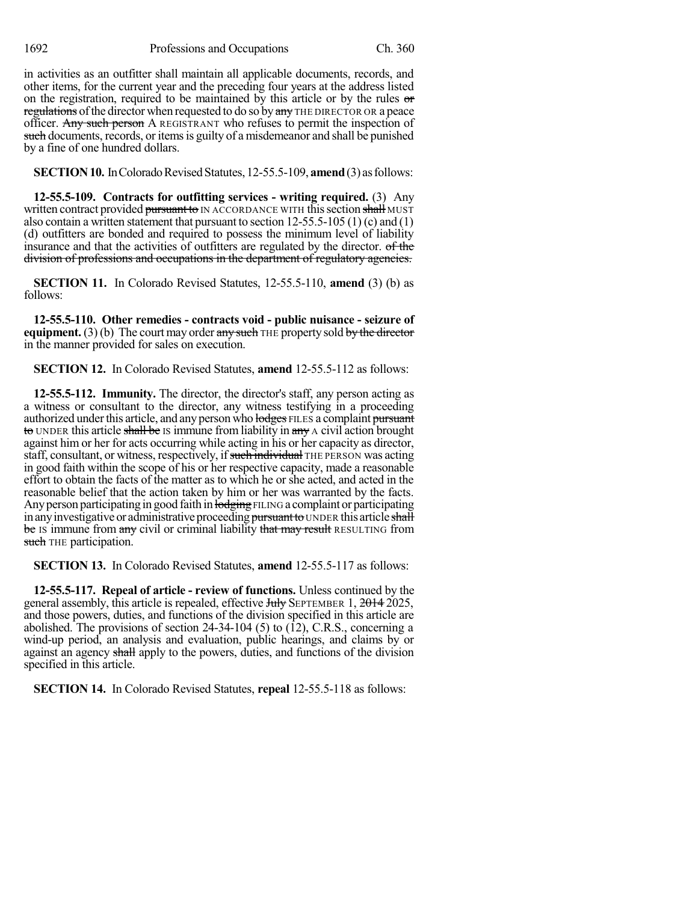in activities as an outfitter shall maintain all applicable documents, records, and other items, for the current year and the preceding four years at the address listed on the registration, required to be maintained by this article or by the rules or regulations of the director when requested to do so by any THE DIRECTOR OR a peace officer. Any such person A REGISTRANT who refuses to permit the inspection of such documents, records, or items is guilty of a misdemeanor and shall be punished by a fine of one hundred dollars.

**SECTION 10.** In Colorado Revised Statutes, 12-55.5-109, **amend** (3) as follows:

**12-55.5-109. Contracts for outfitting services - writing required.** (3) Any written contract provided pursuant to IN ACCORDANCE WITH this section shall MUST also contain a written statement that pursuant to section  $12-55.5-105(1)$  (c) and (1) (d) outfitters are bonded and required to possess the minimum level of liability insurance and that the activities of outfitters are regulated by the director. of the division of professions and occupations in the department of regulatory agencies.

**SECTION 11.** In Colorado Revised Statutes, 12-55.5-110, **amend** (3) (b) as follows:

**12-55.5-110. Other remedies - contracts void - public nuisance - seizure of equipment.** (3) (b) The court may order any such THE property sold by the director in the manner provided for sales on execution.

**SECTION 12.** In Colorado Revised Statutes, **amend** 12-55.5-112 as follows:

**12-55.5-112. Immunity.** The director, the director's staff, any person acting as a witness or consultant to the director, any witness testifying in a proceeding authorized under this article, and any person who lodges FILES a complaint pursuant to UNDER this article shall be IS immune from liability in any A civil action brought against him or her for acts occurring while acting in his or her capacity as director, staff, consultant, or witness, respectively, if such individual THE PERSON was acting in good faith within the scope of his or her respective capacity, made a reasonable effort to obtain the facts of the matter as to which he or she acted, and acted in the reasonable belief that the action taken by him or her was warranted by the facts. Any person participating in good faith in lodging FILING a complaint or participating in any investigative or administrative proceeding pursuant to UNDER this article shall be IS immune from any civil or criminal liability that may result RESULTING from such THE participation.

**SECTION 13.** In Colorado Revised Statutes, **amend** 12-55.5-117 as follows:

**12-55.5-117. Repeal of article - review of functions.** Unless continued by the general assembly, this article is repealed, effective July SEPTEMBER 1, 2014 2025, and those powers, duties, and functions of the division specified in this article are abolished. The provisions of section  $24-34-104$  (5) to (12), C.R.S., concerning a wind-up period, an analysis and evaluation, public hearings, and claims by or against an agency shall apply to the powers, duties, and functions of the division specified in this article.

**SECTION 14.** In Colorado Revised Statutes, **repeal** 12-55.5-118 as follows: